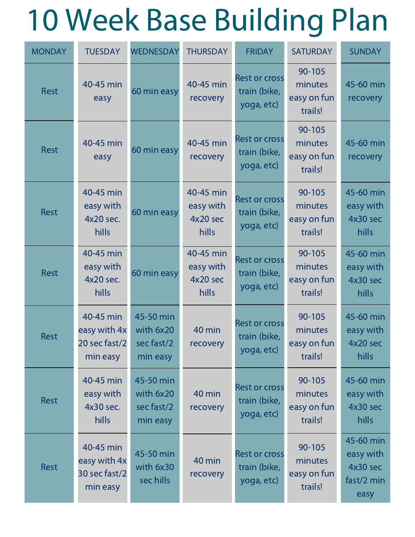## 10 Week Base Building Plan

| <b>MONDAY</b> | <b>TUESDAY</b>                                         | <b>WEDNESDAY</b>                                 | <b>THURSDAY</b>                             | <b>FRIDAY</b>                                      | <b>SATURDAY</b>                             | <b>SUNDAY</b>                                            |
|---------------|--------------------------------------------------------|--------------------------------------------------|---------------------------------------------|----------------------------------------------------|---------------------------------------------|----------------------------------------------------------|
| <b>Rest</b>   | 40-45 min<br>easy                                      | 60 min easy                                      | 40-45 min<br>recovery                       | <b>Rest or cross</b><br>train (bike,<br>yoga, etc) | 90-105<br>minutes<br>easy on fun<br>trails! | 45-60 min<br>recovery                                    |
| <b>Rest</b>   | 40-45 min<br>easy                                      | 60 min easy                                      | 40-45 min<br>recovery                       | <b>Rest or cross</b><br>train (bike,<br>yoga, etc) | 90-105<br>minutes<br>easy on fun<br>trails! | 45-60 min<br>recovery                                    |
| <b>Rest</b>   | 40-45 min<br>easy with<br>4x20 sec.<br>hills           | 60 min easy                                      | 40-45 min<br>easy with<br>4x20 sec<br>hills | <b>Rest or cross</b><br>train (bike,<br>yoga, etc) | 90-105<br>minutes<br>easy on fun<br>trails! | 45-60 min<br>easy with<br>4x30 sec<br>hills              |
| <b>Rest</b>   | 40-45 min<br>easy with<br>4x20 sec.<br>hills           | 60 min easy                                      | 40-45 min<br>easy with<br>4x20 sec<br>hills | <b>Rest or cross</b><br>train (bike,<br>yoga, etc) | 90-105<br>minutes<br>easy on fun<br>trails! | 45-60 min<br>easy with<br>4x30 sec<br>hills              |
| <b>Rest</b>   | 40-45 min<br>easy with 4x<br>20 sec fast/2<br>min easy | 45-50 min<br>with 6x20<br>sec fast/2<br>min easy | 40 min<br>recovery                          | <b>Rest or cross</b><br>train (bike,<br>yoga, etc) | 90-105<br>minutes<br>easy on fun<br>trails! | 45-60 min<br>easy with<br>4x20 sec<br>hills              |
| Rest          | 40-45 min<br>easy with<br>4x30 sec.<br>hills           | 45-50 min<br>with 6x20<br>sec fast/2<br>min easy | 40 min<br>recovery                          | <b>Rest or cross</b><br>train (bike,<br>yoga, etc) | 90-105<br>minutes<br>easy on fun<br>trails! | 45-60 min<br>easy with<br>4x30 sec<br>hills              |
| Rest          | 40-45 min<br>easy with 4x<br>30 sec fast/2<br>min easy | 45-50 min<br>with 6x30<br>sec hills              | 40 min<br>recovery                          | <b>Rest or cross</b><br>train (bike,<br>yoga, etc) | 90-105<br>minutes<br>easy on fun<br>trails! | 45-60 min<br>easy with<br>4x30 sec<br>fast/2 min<br>easy |